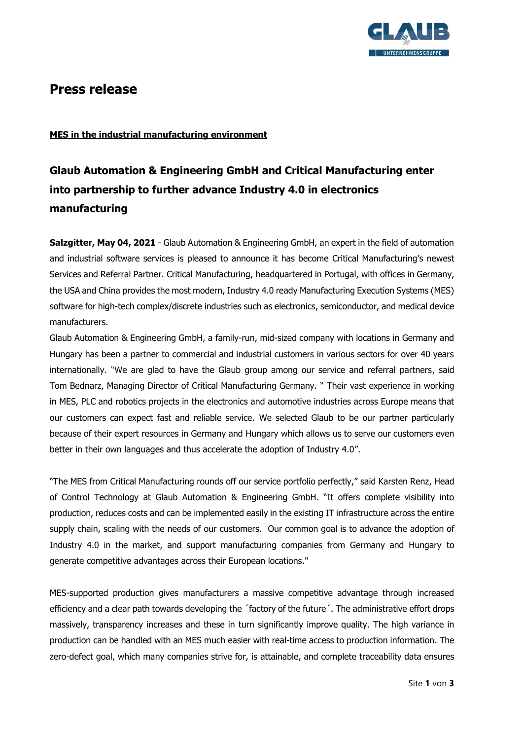

# **Press release**

## **MES in the industrial manufacturing environment**

# **Glaub Automation & Engineering GmbH and Critical Manufacturing enter into partnership to further advance Industry 4.0 in electronics manufacturing**

**Salzgitter, May 04, 2021** - Glaub Automation & Engineering GmbH, an expert in the field of automation and industrial software services is pleased to announce it has become Critical Manufacturing's newest Services and Referral Partner. Critical Manufacturing, headquartered in Portugal, with offices in Germany, the USA and China provides the most modern, Industry 4.0 ready Manufacturing Execution Systems (MES) software for high-tech complex/discrete industries such as electronics, semiconductor, and medical device manufacturers.

Glaub Automation & Engineering GmbH, a family-run, mid-sized company with locations in Germany and Hungary has been a partner to commercial and industrial customers in various sectors for over 40 years internationally. "We are glad to have the Glaub group among our service and referral partners, said Tom Bednarz, Managing Director of Critical Manufacturing Germany. " Their vast experience in working in MES, PLC and robotics projects in the electronics and automotive industries across Europe means that our customers can expect fast and reliable service. We selected Glaub to be our partner particularly because of their expert resources in Germany and Hungary which allows us to serve our customers even better in their own languages and thus accelerate the adoption of Industry 4.0".

"The MES from Critical Manufacturing rounds off our service portfolio perfectly," said Karsten Renz, Head of Control Technology at Glaub Automation & Engineering GmbH. "It offers complete visibility into production, reduces costs and can be implemented easily in the existing IT infrastructure across the entire supply chain, scaling with the needs of our customers. Our common goal is to advance the adoption of Industry 4.0 in the market, and support manufacturing companies from Germany and Hungary to generate competitive advantages across their European locations."

MES-supported production gives manufacturers a massive competitive advantage through increased efficiency and a clear path towards developing the ´factory of the future´. The administrative effort drops massively, transparency increases and these in turn significantly improve quality. The high variance in production can be handled with an MES much easier with real-time access to production information. The zero-defect goal, which many companies strive for, is attainable, and complete traceability data ensures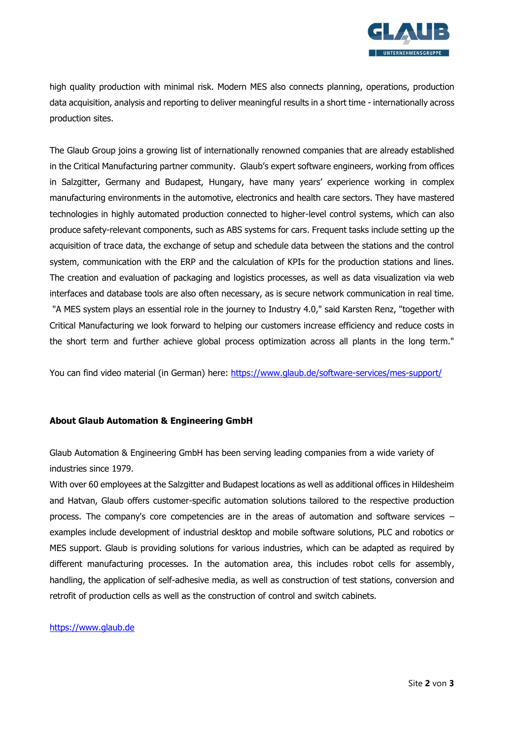

high quality production with minimal risk. Modern MES also connects planning, operations, production data acquisition, analysis and reporting to deliver meaningful results in a short time - internationally across production sites.

The Glaub Group joins a growing list of internationally renowned companies that are already established in the Critical Manufacturing partner community. Glaub's expert software engineers, working from offices in Salzgitter, Germany and Budapest, Hungary, have many years' experience working in complex manufacturing environments in the automotive, electronics and health care sectors. They have mastered technologies in highly automated production connected to higher-level control systems, which can also produce safety-relevant components, such as ABS systems for cars. Frequent tasks include setting up the acquisition of trace data, the exchange of setup and schedule data between the stations and the control system, communication with the ERP and the calculation of KPIs for the production stations and lines. The creation and evaluation of packaging and logistics processes, as well as data visualization via web interfaces and database tools are also often necessary, as is secure network communication in real time. "A MES system plays an essential role in the journey to Industry 4.0," said Karsten Renz, "together with Critical Manufacturing we look forward to helping our customers increase efficiency and reduce costs in the short term and further achieve global process optimization across all plants in the long term."

You can find video material (in German) here:<https://www.glaub.de/software-services/mes-support/>

#### **About Glaub Automation & Engineering GmbH**

Glaub Automation & Engineering GmbH has been serving leading companies from a wide variety of industries since 1979.

With over 60 employees at the Salzgitter and Budapest locations as well as additional offices in Hildesheim and Hatvan, Glaub offers customer-specific automation solutions tailored to the respective production process. The company's core competencies are in the areas of automation and software services – examples include development of industrial desktop and mobile software solutions, PLC and robotics or MES support. Glaub is providing solutions for various industries, which can be adapted as required by different manufacturing processes. In the automation area, this includes robot cells for assembly, handling, the application of self-adhesive media, as well as construction of test stations, conversion and retrofit of production cells as well as the construction of control and switch cabinets.

[https://www.glaub.de](https://www.glaub.de/)